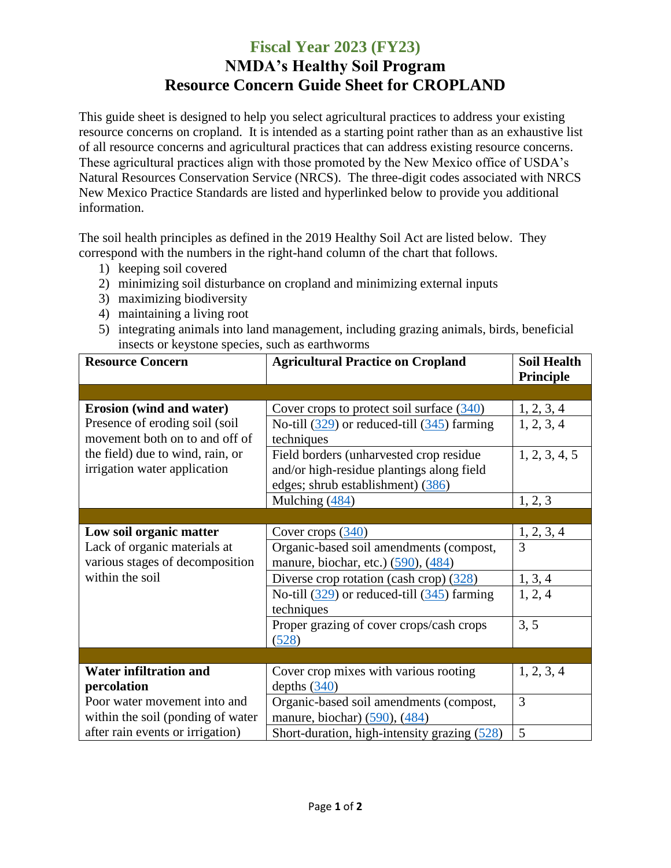## **Fiscal Year 2023 (FY23) NMDA's Healthy Soil Program Resource Concern Guide Sheet for CROPLAND**

This guide sheet is designed to help you select agricultural practices to address your existing resource concerns on cropland. It is intended as a starting point rather than as an exhaustive list of all resource concerns and agricultural practices that can address existing resource concerns. These agricultural practices align with those promoted by the New Mexico office of USDA's Natural Resources Conservation Service (NRCS). The three-digit codes associated with NRCS New Mexico Practice Standards are listed and hyperlinked below to provide you additional information.

The soil health principles as defined in the 2019 Healthy Soil Act are listed below. They correspond with the numbers in the right-hand column of the chart that follows.

- 1) keeping soil covered
- 2) minimizing soil disturbance on cropland and minimizing external inputs
- 3) maximizing biodiversity
- 4) maintaining a living root
- 5) integrating animals into land management, including grazing animals, birds, beneficial insects or keystone species, such as earthworms

| <b>Resource Concern</b>                                           | <b>Agricultural Practice on Cropland</b>                      | <b>Soil Health</b><br>Principle |
|-------------------------------------------------------------------|---------------------------------------------------------------|---------------------------------|
|                                                                   |                                                               |                                 |
| Erosion (wind and water)                                          | Cover crops to protect soil surface $(340)$                   | $\frac{1, 2, 3, 4}{1, 2, 3, 4}$ |
| Presence of eroding soil (soil)<br>movement both on to and off of | No-till $(329)$ or reduced-till $(345)$ farming<br>techniques |                                 |
| the field) due to wind, rain, or                                  | Field borders (unharvested crop residue)                      | 1, 2, 3, 4, 5                   |
| irrigation water application                                      | and/or high-residue plantings along field                     |                                 |
|                                                                   | edges; shrub establishment) (386)                             |                                 |
|                                                                   | Mulching (484)                                                | 1, 2, 3                         |
|                                                                   |                                                               |                                 |
| Low soil organic matter                                           | Cover crops $(340)$                                           | $\frac{1, 2, 3, 4}{3}$          |
| Lack of organic materials at                                      | Organic-based soil amendments (compost,                       |                                 |
| various stages of decomposition                                   | manure, biochar, etc.) (590), (484)                           |                                 |
| within the soil                                                   | Diverse crop rotation (cash crop) $(328)$                     | 1, 3, 4                         |
|                                                                   | No-till $(329)$ or reduced-till $(345)$ farming<br>techniques | 1, 2, 4                         |
|                                                                   | Proper grazing of cover crops/cash crops                      | 3, 5                            |
|                                                                   | (528)                                                         |                                 |
|                                                                   |                                                               |                                 |
| <b>Water infiltration and</b>                                     | Cover crop mixes with various rooting                         | 1, 2, 3, 4                      |
| percolation                                                       | depths $(340)$                                                |                                 |
| Poor water movement into and                                      | Organic-based soil amendments (compost,                       | 3                               |
| within the soil (ponding of water                                 | manure, biochar) $(590)$ , $(484)$                            |                                 |
| after rain events or irrigation)                                  | Short-duration, high-intensity grazing (528)                  | 5                               |